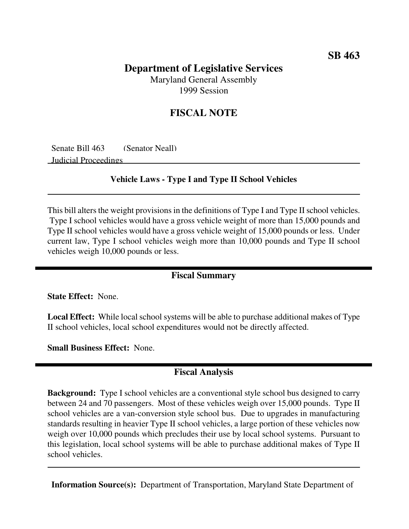# **Department of Legislative Services**

Maryland General Assembly 1999 Session

### **FISCAL NOTE**

Senate Bill 463 (Senator Neall) Judicial Proceedings

#### **Vehicle Laws - Type I and Type II School Vehicles**

This bill alters the weight provisions in the definitions of Type I and Type II school vehicles. Type I school vehicles would have a gross vehicle weight of more than 15,000 pounds and Type II school vehicles would have a gross vehicle weight of 15,000 pounds or less. Under current law, Type I school vehicles weigh more than 10,000 pounds and Type II school vehicles weigh 10,000 pounds or less.

#### **Fiscal Summary**

**State Effect:** None.

**Local Effect:** While local school systems will be able to purchase additional makes of Type II school vehicles, local school expenditures would not be directly affected.

**Small Business Effect:** None.

#### **Fiscal Analysis**

**Background:** Type I school vehicles are a conventional style school bus designed to carry between 24 and 70 passengers. Most of these vehicles weigh over 15,000 pounds. Type II school vehicles are a van-conversion style school bus. Due to upgrades in manufacturing standards resulting in heavier Type II school vehicles, a large portion of these vehicles now weigh over 10,000 pounds which precludes their use by local school systems. Pursuant to this legislation, local school systems will be able to purchase additional makes of Type II school vehicles.

**Information Source(s):** Department of Transportation, Maryland State Department of